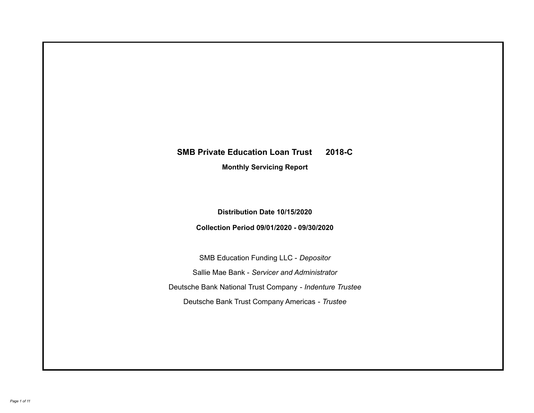# **SMB Private Education Loan Trust 2018-C Monthly Servicing Report**

**Distribution Date 10/15/2020**

**Collection Period 09/01/2020 - 09/30/2020**

SMB Education Funding LLC - *Depositor* Sallie Mae Bank - *Servicer and Administrator* Deutsche Bank National Trust Company - *Indenture Trustee* Deutsche Bank Trust Company Americas - *Trustee*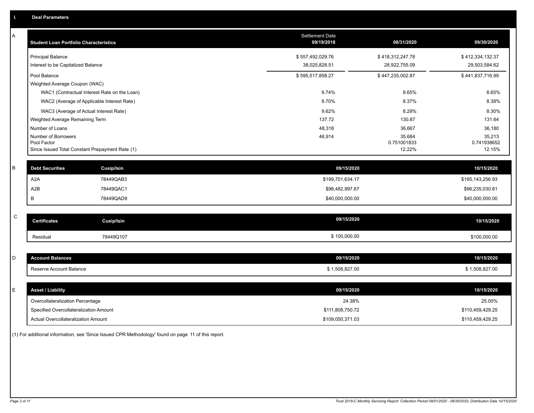| А | <b>Student Loan Portfolio Characteristics</b>                  | <b>Settlement Date</b><br>09/19/2018 | 08/31/2020            | 09/30/2020            |
|---|----------------------------------------------------------------|--------------------------------------|-----------------------|-----------------------|
|   | <b>Principal Balance</b>                                       | \$557,492,029.76                     | \$418,312,247.78      | \$412,334,132.37      |
|   | Interest to be Capitalized Balance                             | 38,025,828.51                        | 28,922,755.09         | 29,503,584.62         |
|   | Pool Balance                                                   | \$595,517,858.27                     | \$447,235,002.87      | \$441,837,716.99      |
|   | Weighted Average Coupon (WAC)                                  |                                      |                       |                       |
|   | WAC1 (Contractual Interest Rate on the Loan)                   | 9.74%                                | 8.65%                 | 8.65%                 |
|   | WAC2 (Average of Applicable Interest Rate)                     | 9.70%                                | 8.37%                 | 8.38%                 |
|   | WAC3 (Average of Actual Interest Rate)                         | 9.62%                                | 8.29%                 | 8.30%                 |
|   | Weighted Average Remaining Term                                | 137.72                               | 130.87                | 131.64                |
|   | Number of Loans                                                | 48,318                               | 36,667                | 36,180                |
|   | Number of Borrowers                                            | 46,914                               | 35,684                | 35,213                |
|   | Pool Factor<br>Since Issued Total Constant Prepayment Rate (1) |                                      | 0.751001833<br>12.22% | 0.741938652<br>12.15% |
|   |                                                                |                                      |                       |                       |
| B | <b>Debt Securities</b><br><b>Cusip/Isin</b>                    | 09/15/2020                           |                       | 10/15/2020            |
|   | A <sub>2</sub> A<br>78449QAB3                                  | \$199,701,634.17                     |                       | \$195,143,256.93      |
|   | A <sub>2</sub> B<br>78449QAC1                                  | \$98,482,997.67                      |                       | \$96,235,030.81       |
|   | В<br>78449QAD9                                                 | \$40,000,000.00                      |                       | \$40,000,000.00       |
|   |                                                                |                                      |                       |                       |
| C | <b>Certificates</b><br><b>Cusip/Isin</b>                       | 09/15/2020                           |                       | 10/15/2020            |
|   | 78449Q107<br>Residual                                          | \$100,000.00                         |                       | \$100,000.00          |
|   |                                                                |                                      |                       |                       |
| D | <b>Account Balances</b>                                        | 09/15/2020                           |                       | 10/15/2020            |
|   | Reserve Account Balance                                        | \$1,508,827.00                       |                       | \$1,508,827.00        |
|   |                                                                |                                      |                       |                       |
| Е | <b>Asset / Liability</b>                                       | 09/15/2020                           |                       | 10/15/2020            |
|   | Overcollateralization Percentage                               | 24.38%                               |                       | 25.00%                |
|   | Specified Overcollateralization Amount                         | \$111,808,750.72                     |                       | \$110,459,429.25      |
|   | Actual Overcollateralization Amount                            | \$109,050,371.03                     |                       | \$110,459,429.25      |

(1) For additional information, see 'Since Issued CPR Methodology' found on page 11 of this report.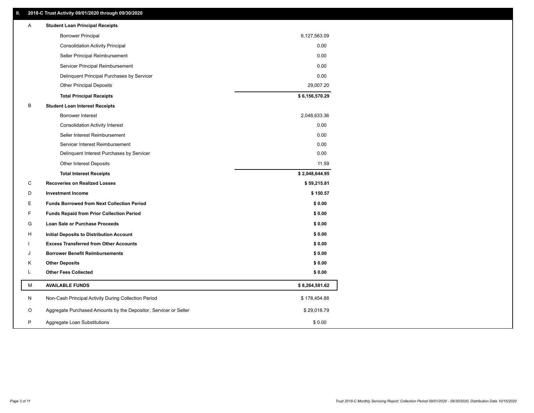### **II. 2018-C Trust Activity 09/01/2020 through 09/30/2020**

| Α | <b>Student Loan Principal Receipts</b>                           |                |  |
|---|------------------------------------------------------------------|----------------|--|
|   | <b>Borrower Principal</b>                                        | 6,127,563.09   |  |
|   | <b>Consolidation Activity Principal</b>                          | 0.00           |  |
|   | Seller Principal Reimbursement                                   | 0.00           |  |
|   | Servicer Principal Reimbursement                                 | 0.00           |  |
|   | Delinquent Principal Purchases by Servicer                       | 0.00           |  |
|   | <b>Other Principal Deposits</b>                                  | 29,007.20      |  |
|   | <b>Total Principal Receipts</b>                                  | \$6,156,570.29 |  |
| B | <b>Student Loan Interest Receipts</b>                            |                |  |
|   | <b>Borrower Interest</b>                                         | 2,048,633.36   |  |
|   | <b>Consolidation Activity Interest</b>                           | 0.00           |  |
|   | Seller Interest Reimbursement                                    | 0.00           |  |
|   | Servicer Interest Reimbursement                                  | 0.00           |  |
|   | Delinquent Interest Purchases by Servicer                        | 0.00           |  |
|   | <b>Other Interest Deposits</b>                                   | 11.59          |  |
|   | <b>Total Interest Receipts</b>                                   | \$2,048,644.95 |  |
| С | <b>Recoveries on Realized Losses</b>                             | \$59,215.81    |  |
| D | <b>Investment Income</b>                                         | \$150.57       |  |
| Ε | <b>Funds Borrowed from Next Collection Period</b>                | \$0.00         |  |
| F | <b>Funds Repaid from Prior Collection Period</b>                 | \$0.00         |  |
| G | Loan Sale or Purchase Proceeds                                   | \$0.00         |  |
| н | Initial Deposits to Distribution Account                         | \$0.00         |  |
|   | <b>Excess Transferred from Other Accounts</b>                    | \$0.00         |  |
| J | <b>Borrower Benefit Reimbursements</b>                           | \$0.00         |  |
| Κ | <b>Other Deposits</b>                                            | \$0.00         |  |
| L | <b>Other Fees Collected</b>                                      | \$0.00         |  |
| М | <b>AVAILABLE FUNDS</b>                                           | \$8,264,581.62 |  |
| N | Non-Cash Principal Activity During Collection Period             | \$178,454.88   |  |
| O | Aggregate Purchased Amounts by the Depositor, Servicer or Seller | \$29,018.79    |  |
| P | Aggregate Loan Substitutions                                     | \$0.00         |  |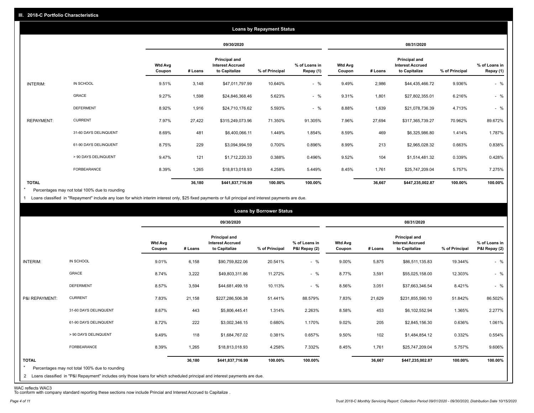|                   |                       |                          |         |                                                           | <b>Loans by Repayment Status</b> |                            |                   |         |                                                                  |                |                            |
|-------------------|-----------------------|--------------------------|---------|-----------------------------------------------------------|----------------------------------|----------------------------|-------------------|---------|------------------------------------------------------------------|----------------|----------------------------|
|                   |                       |                          |         | 09/30/2020                                                |                                  |                            |                   |         | 08/31/2020                                                       |                |                            |
|                   |                       | <b>Wtd Avg</b><br>Coupon | # Loans | Principal and<br><b>Interest Accrued</b><br>to Capitalize | % of Principal                   | % of Loans in<br>Repay (1) | Wtd Avg<br>Coupon | # Loans | <b>Principal and</b><br><b>Interest Accrued</b><br>to Capitalize | % of Principal | % of Loans in<br>Repay (1) |
| INTERIM:          | IN SCHOOL             | 9.51%                    | 3,148   | \$47,011,797.99                                           | 10.640%                          | $-$ %                      | 9.49%             | 2,986   | \$44,435,466.72                                                  | 9.936%         | $-$ %                      |
|                   | GRACE                 | 9.27%                    | 1,598   | \$24,846,368.46                                           | 5.623%                           | $-$ %                      | 9.31%             | 1,801   | \$27,802,355.01                                                  | 6.216%         | $-$ %                      |
|                   | <b>DEFERMENT</b>      | 8.92%                    | 1,916   | \$24,710,176.62                                           | 5.593%                           | $-$ %                      | 8.88%             | 1,639   | \$21,078,736.39                                                  | 4.713%         | $-$ %                      |
| <b>REPAYMENT:</b> | <b>CURRENT</b>        | 7.97%                    | 27,422  | \$315,249,073.96                                          | 71.350%                          | 91.305%                    | 7.96%             | 27,694  | \$317,365,739.27                                                 | 70.962%        | 89.672%                    |
|                   | 31-60 DAYS DELINQUENT | 8.69%                    | 481     | \$6,400,066.11                                            | 1.449%                           | 1.854%                     | 8.59%             | 469     | \$6,325,986.80                                                   | 1.414%         | 1.787%                     |
|                   | 61-90 DAYS DELINQUENT | 8.75%                    | 229     | \$3,094,994.59                                            | 0.700%                           | 0.896%                     | 8.99%             | 213     | \$2,965,028.32                                                   | 0.663%         | 0.838%                     |
|                   | > 90 DAYS DELINQUENT  | 9.47%                    | 121     | \$1,712,220.33                                            | 0.388%                           | 0.496%                     | 9.52%             | 104     | \$1,514,481.32                                                   | 0.339%         | 0.428%                     |
|                   | FORBEARANCE           | 8.39%                    | 1,265   | \$18,813,018.93                                           | 4.258%                           | 5.449%                     | 8.45%             | 1,761   | \$25,747,209.04                                                  | 5.757%         | 7.275%                     |
| <b>TOTAL</b>      |                       |                          | 36,180  | \$441,837,716.99                                          | 100.00%                          | 100.00%                    |                   | 36,667  | \$447,235,002.87                                                 | 100.00%        | 100.00%                    |

Percentages may not total 100% due to rounding \*

1 Loans classified in "Repayment" include any loan for which interim interest only, \$25 fixed payments or full principal and interest payments are due.

|                         |                                                                                                                                                                                |                          |         |                                                           | <b>Loans by Borrower Status</b> |                                |                          |         |                                                                  |                |                                |
|-------------------------|--------------------------------------------------------------------------------------------------------------------------------------------------------------------------------|--------------------------|---------|-----------------------------------------------------------|---------------------------------|--------------------------------|--------------------------|---------|------------------------------------------------------------------|----------------|--------------------------------|
|                         |                                                                                                                                                                                |                          |         | 09/30/2020                                                |                                 |                                |                          |         | 08/31/2020                                                       |                |                                |
|                         |                                                                                                                                                                                | <b>Wtd Avg</b><br>Coupon | # Loans | Principal and<br><b>Interest Accrued</b><br>to Capitalize | % of Principal                  | % of Loans in<br>P&I Repay (2) | <b>Wtd Avg</b><br>Coupon | # Loans | <b>Principal and</b><br><b>Interest Accrued</b><br>to Capitalize | % of Principal | % of Loans in<br>P&I Repay (2) |
| INTERIM:                | IN SCHOOL                                                                                                                                                                      | 9.01%                    | 6,158   | \$90,759,822.06                                           | 20.541%                         | $-$ %                          | 9.00%                    | 5,875   | \$86,511,135.83                                                  | 19.344%        | $-$ %                          |
|                         | GRACE                                                                                                                                                                          | 8.74%                    | 3,222   | \$49,803,311.86                                           | 11.272%                         | $-$ %                          | 8.77%                    | 3,591   | \$55,025,158.00                                                  | 12.303%        | $-$ %                          |
|                         | <b>DEFERMENT</b>                                                                                                                                                               | 8.57%                    | 3,594   | \$44,681,499.18                                           | 10.113%                         | $-$ %                          | 8.56%                    | 3,051   | \$37,663,346.54                                                  | 8.421%         | $-$ %                          |
| P&I REPAYMENT:          | <b>CURRENT</b>                                                                                                                                                                 | 7.83%                    | 21,158  | \$227,286,506.38                                          | 51.441%                         | 88.579%                        | 7.83%                    | 21,629  | \$231,855,590.10                                                 | 51.842%        | 86.502%                        |
|                         | 31-60 DAYS DELINQUENT                                                                                                                                                          | 8.67%                    | 443     | \$5,806,445.41                                            | 1.314%                          | 2.263%                         | 8.58%                    | 453     | \$6,102,552.94                                                   | 1.365%         | 2.277%                         |
|                         | 61-90 DAYS DELINQUENT                                                                                                                                                          | 8.72%                    | 222     | \$3,002,346.15                                            | 0.680%                          | 1.170%                         | 9.02%                    | 205     | \$2,845,156.30                                                   | 0.636%         | 1.061%                         |
|                         | > 90 DAYS DELINQUENT                                                                                                                                                           | 9.49%                    | 118     | \$1,684,767.02                                            | 0.381%                          | 0.657%                         | 9.50%                    | 102     | \$1,484,854.12                                                   | 0.332%         | 0.554%                         |
|                         | FORBEARANCE                                                                                                                                                                    | 8.39%                    | 1,265   | \$18,813,018.93                                           | 4.258%                          | 7.332%                         | 8.45%                    | 1,761   | \$25,747,209.04                                                  | 5.757%         | 9.606%                         |
| <b>TOTAL</b><br>$\star$ | Percentages may not total 100% due to rounding<br>2 Loans classified in "P&I Repayment" includes only those loans for which scheduled principal and interest payments are due. |                          | 36,180  | \$441,837,716.99                                          | 100.00%                         | 100.00%                        |                          | 36,667  | \$447,235,002.87                                                 | 100.00%        | 100.00%                        |

WAC reflects WAC3 To conform with company standard reporting these sections now include Princial and Interest Accrued to Capitalize .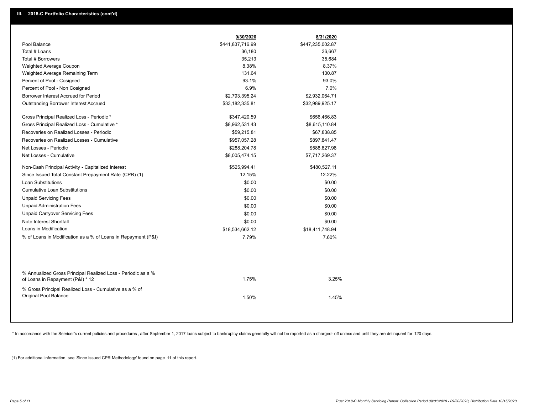|                                                                                                  | 9/30/2020        | 8/31/2020        |  |
|--------------------------------------------------------------------------------------------------|------------------|------------------|--|
| Pool Balance                                                                                     | \$441,837,716.99 | \$447,235,002.87 |  |
| Total # Loans                                                                                    | 36,180           | 36,667           |  |
| Total # Borrowers                                                                                | 35,213           | 35,684           |  |
| Weighted Average Coupon                                                                          | 8.38%            | 8.37%            |  |
| Weighted Average Remaining Term                                                                  | 131.64           | 130.87           |  |
| Percent of Pool - Cosigned                                                                       | 93.1%            | 93.0%            |  |
| Percent of Pool - Non Cosigned                                                                   | 6.9%             | 7.0%             |  |
| Borrower Interest Accrued for Period                                                             | \$2,793,395.24   | \$2,932,064.71   |  |
| Outstanding Borrower Interest Accrued                                                            | \$33,182,335.81  | \$32,989,925.17  |  |
| Gross Principal Realized Loss - Periodic *                                                       | \$347,420.59     | \$656,466.83     |  |
| Gross Principal Realized Loss - Cumulative *                                                     | \$8,962,531.43   | \$8,615,110.84   |  |
| Recoveries on Realized Losses - Periodic                                                         | \$59,215.81      | \$67,838.85      |  |
| Recoveries on Realized Losses - Cumulative                                                       | \$957,057.28     | \$897,841.47     |  |
| Net Losses - Periodic                                                                            | \$288,204.78     | \$588,627.98     |  |
| Net Losses - Cumulative                                                                          | \$8,005,474.15   | \$7,717,269.37   |  |
| Non-Cash Principal Activity - Capitalized Interest                                               | \$525,994.41     | \$480,527.11     |  |
| Since Issued Total Constant Prepayment Rate (CPR) (1)                                            | 12.15%           | 12.22%           |  |
| <b>Loan Substitutions</b>                                                                        | \$0.00           | \$0.00           |  |
| <b>Cumulative Loan Substitutions</b>                                                             | \$0.00           | \$0.00           |  |
| <b>Unpaid Servicing Fees</b>                                                                     | \$0.00           | \$0.00           |  |
| <b>Unpaid Administration Fees</b>                                                                | \$0.00           | \$0.00           |  |
| <b>Unpaid Carryover Servicing Fees</b>                                                           | \$0.00           | \$0.00           |  |
| Note Interest Shortfall                                                                          | \$0.00           | \$0.00           |  |
| Loans in Modification                                                                            | \$18,534,662.12  | \$18,411,748.94  |  |
| % of Loans in Modification as a % of Loans in Repayment (P&I)                                    | 7.79%            | 7.60%            |  |
|                                                                                                  |                  |                  |  |
| % Annualized Gross Principal Realized Loss - Periodic as a %<br>of Loans in Repayment (P&I) * 12 | 1.75%            | 3.25%            |  |
| % Gross Principal Realized Loss - Cumulative as a % of<br><b>Original Pool Balance</b>           | 1.50%            | 1.45%            |  |

\* In accordance with the Servicer's current policies and procedures, after September 1, 2017 loans subject to bankruptcy claims generally will not be reported as a charged- off unless and until they are delinquent for 120

(1) For additional information, see 'Since Issued CPR Methodology' found on page 11 of this report.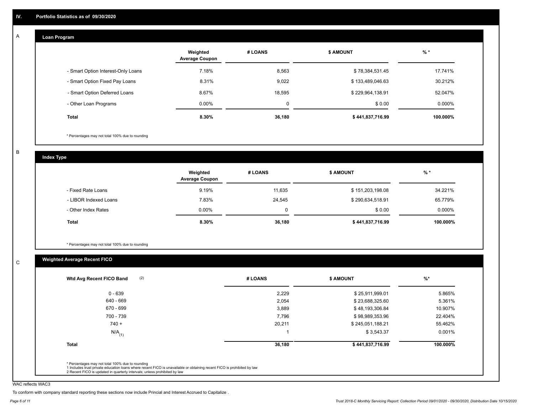#### **Loan Program**  A

|                                    | Weighted<br><b>Average Coupon</b> | # LOANS     | <b>\$ AMOUNT</b> | $%$ *     |
|------------------------------------|-----------------------------------|-------------|------------------|-----------|
| - Smart Option Interest-Only Loans | 7.18%                             | 8,563       | \$78,384,531.45  | 17.741%   |
| - Smart Option Fixed Pay Loans     | 8.31%                             | 9.022       | \$133,489,046.63 | 30.212%   |
| - Smart Option Deferred Loans      | 8.67%                             | 18.595      | \$229,964,138.91 | 52.047%   |
| - Other Loan Programs              | $0.00\%$                          | $\mathbf 0$ | \$0.00           | $0.000\%$ |
| <b>Total</b>                       | 8.30%                             | 36,180      | \$441,837,716.99 | 100.000%  |

\* Percentages may not total 100% due to rounding

B

C

**Index Type**

|                       | Weighted<br><b>Average Coupon</b> | # LOANS | <b>\$ AMOUNT</b> | $%$ *     |
|-----------------------|-----------------------------------|---------|------------------|-----------|
| - Fixed Rate Loans    | 9.19%                             | 11,635  | \$151,203,198.08 | 34.221%   |
| - LIBOR Indexed Loans | 7.83%                             | 24,545  | \$290,634,518.91 | 65.779%   |
| - Other Index Rates   | $0.00\%$                          | 0       | \$0.00           | $0.000\%$ |
| Total                 | 8.30%                             | 36,180  | \$441,837,716.99 | 100.000%  |

\* Percentages may not total 100% due to rounding

## **Weighted Average Recent FICO**

| $0 - 639$            | 2,229  | \$25,911,999.01  | 5.865%   |
|----------------------|--------|------------------|----------|
| 640 - 669            | 2,054  | \$23,688,325.60  | 5.361%   |
| 670 - 699            | 3,889  | \$48,193,306.84  | 10.907%  |
| 700 - 739            | 7,796  | \$98,989,353.96  | 22.404%  |
| $740 +$              | 20,211 | \$245,051,188.21 | 55.462%  |
| $N/A$ <sub>(1)</sub> |        | \$3,543.37       | 0.001%   |
| <b>Total</b>         | 36,180 | \$441,837,716.99 | 100.000% |

WAC reflects WAC3

To conform with company standard reporting these sections now include Princial and Interest Accrued to Capitalize .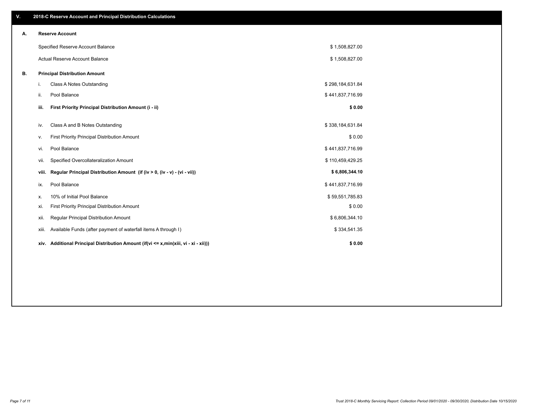| V. |                                   | 2018-C Reserve Account and Principal Distribution Calculations                  |                  |  |
|----|-----------------------------------|---------------------------------------------------------------------------------|------------------|--|
| А. |                                   | <b>Reserve Account</b>                                                          |                  |  |
|    | Specified Reserve Account Balance |                                                                                 | \$1,508,827.00   |  |
|    |                                   | Actual Reserve Account Balance                                                  | \$1,508,827.00   |  |
| В. |                                   | <b>Principal Distribution Amount</b>                                            |                  |  |
|    | i.                                | Class A Notes Outstanding                                                       | \$298,184,631.84 |  |
|    | ii.                               | Pool Balance                                                                    | \$441,837,716.99 |  |
|    | iii.                              | First Priority Principal Distribution Amount (i - ii)                           | \$0.00           |  |
|    |                                   |                                                                                 |                  |  |
|    | iv.                               | Class A and B Notes Outstanding                                                 | \$338,184,631.84 |  |
|    | v.                                | First Priority Principal Distribution Amount                                    | \$0.00           |  |
|    | vi.                               | Pool Balance                                                                    | \$441,837,716.99 |  |
|    | vii.                              | Specified Overcollateralization Amount                                          | \$110,459,429.25 |  |
|    | viii.                             | Regular Principal Distribution Amount (if (iv > 0, (iv - v) - (vi - vii))       | \$6,806,344.10   |  |
|    | ix.                               | Pool Balance                                                                    | \$441,837,716.99 |  |
|    | х.                                | 10% of Initial Pool Balance                                                     | \$59,551,785.83  |  |
|    | xi.                               | First Priority Principal Distribution Amount                                    | \$0.00           |  |
|    | xii.                              | Regular Principal Distribution Amount                                           | \$6,806,344.10   |  |
|    | xiii.                             | Available Funds (after payment of waterfall items A through I)                  | \$334,541.35     |  |
|    | xiv.                              | Additional Principal Distribution Amount (if(vi <= x,min(xiii, vi - xi - xii))) | \$0.00           |  |
|    |                                   |                                                                                 |                  |  |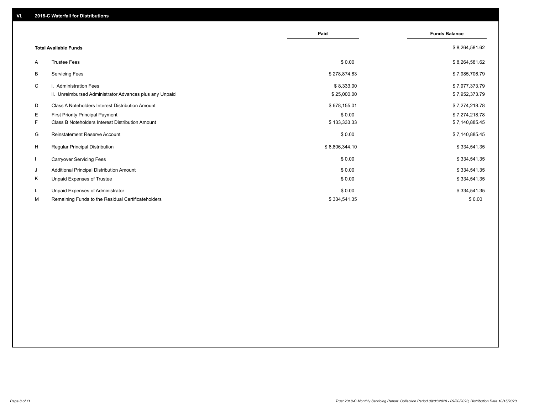|    |                                                         | Paid           | <b>Funds Balance</b> |
|----|---------------------------------------------------------|----------------|----------------------|
|    | <b>Total Available Funds</b>                            |                | \$8,264,581.62       |
| A  | <b>Trustee Fees</b>                                     | \$0.00         | \$8,264,581.62       |
| В  | <b>Servicing Fees</b>                                   | \$278,874.83   | \$7,985,706.79       |
| C  | i. Administration Fees                                  | \$8,333.00     | \$7,977,373.79       |
|    | ii. Unreimbursed Administrator Advances plus any Unpaid | \$25,000.00    | \$7,952,373.79       |
| D  | Class A Noteholders Interest Distribution Amount        | \$678,155.01   | \$7,274,218.78       |
| E. | <b>First Priority Principal Payment</b>                 | \$0.00         | \$7,274,218.78       |
| F. | Class B Noteholders Interest Distribution Amount        | \$133,333.33   | \$7,140,885.45       |
| G  | <b>Reinstatement Reserve Account</b>                    | \$0.00         | \$7,140,885.45       |
| H  | <b>Regular Principal Distribution</b>                   | \$6,806,344.10 | \$334,541.35         |
|    | <b>Carryover Servicing Fees</b>                         | \$0.00         | \$334,541.35         |
| J  | Additional Principal Distribution Amount                | \$0.00         | \$334,541.35         |
| Κ  | Unpaid Expenses of Trustee                              | \$0.00         | \$334,541.35         |
| L  | Unpaid Expenses of Administrator                        | \$0.00         | \$334,541.35         |
| М  | Remaining Funds to the Residual Certificateholders      | \$334,541.35   | \$0.00               |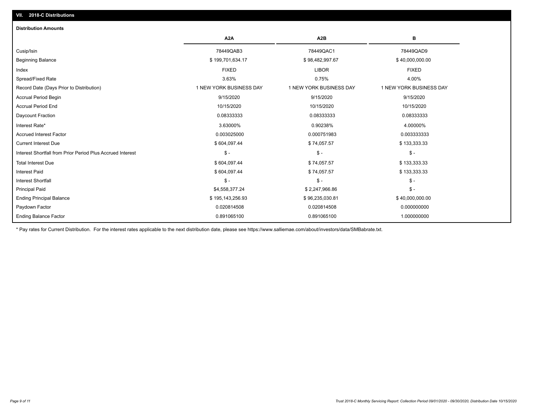| <b>Distribution Amounts</b>                                |                         |                         |                         |
|------------------------------------------------------------|-------------------------|-------------------------|-------------------------|
|                                                            | A <sub>2</sub> A        | A <sub>2</sub> B        | в                       |
| Cusip/Isin                                                 | 78449QAB3               | 78449QAC1               | 78449QAD9               |
| <b>Beginning Balance</b>                                   | \$199,701,634.17        | \$98,482,997.67         | \$40,000,000.00         |
| Index                                                      | <b>FIXED</b>            | <b>LIBOR</b>            | <b>FIXED</b>            |
| Spread/Fixed Rate                                          | 3.63%                   | 0.75%                   | 4.00%                   |
| Record Date (Days Prior to Distribution)                   | 1 NEW YORK BUSINESS DAY | 1 NEW YORK BUSINESS DAY | 1 NEW YORK BUSINESS DAY |
| <b>Accrual Period Begin</b>                                | 9/15/2020               | 9/15/2020               | 9/15/2020               |
| <b>Accrual Period End</b>                                  | 10/15/2020              | 10/15/2020              | 10/15/2020              |
| Daycount Fraction                                          | 0.08333333              | 0.08333333              | 0.08333333              |
| Interest Rate*                                             | 3.63000%                | 0.90238%                | 4.00000%                |
| <b>Accrued Interest Factor</b>                             | 0.003025000             | 0.000751983             | 0.003333333             |
| <b>Current Interest Due</b>                                | \$604,097.44            | \$74,057.57             | \$133,333.33            |
| Interest Shortfall from Prior Period Plus Accrued Interest | $\frac{1}{2}$           | $\mathsf{\$}$ -         | $\mathsf{\$}$ -         |
| <b>Total Interest Due</b>                                  | \$604,097.44            | \$74,057.57             | \$133,333.33            |
| Interest Paid                                              | \$604,097.44            | \$74,057.57             | \$133,333.33            |
| <b>Interest Shortfall</b>                                  | $\mathsf{\$}$ -         | $\mathsf{\$}$ -         | $\mathsf{\$}$ -         |
| <b>Principal Paid</b>                                      | \$4,558,377.24          | \$2,247,966.86          | $$ -$                   |
| <b>Ending Principal Balance</b>                            | \$195,143,256.93        | \$96,235,030.81         | \$40,000,000.00         |
| Paydown Factor                                             | 0.020814508             | 0.020814508             | 0.000000000             |
| <b>Ending Balance Factor</b>                               | 0.891065100             | 0.891065100             | 1.000000000             |

\* Pay rates for Current Distribution. For the interest rates applicable to the next distribution date, please see https://www.salliemae.com/about/investors/data/SMBabrate.txt.

**VII. 2018-C Distributions**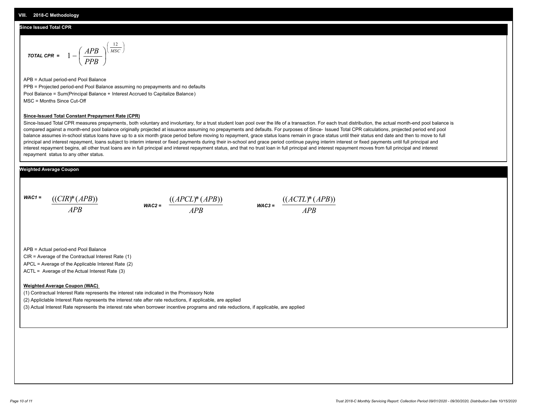#### **Since Issued Total CPR**

$$
\text{total CPR} = 1 - \left(\frac{APB}{PPB}\right)^{\left(\frac{12}{MSC}\right)}
$$

APB = Actual period-end Pool Balance PPB = Projected period-end Pool Balance assuming no prepayments and no defaults Pool Balance = Sum(Principal Balance + Interest Accrued to Capitalize Balance) MSC = Months Since Cut-Off

#### **Since-Issued Total Constant Prepayment Rate (CPR)**

Since-Issued Total CPR measures prepayments, both voluntary and involuntary, for a trust student loan pool over the life of a transaction. For each trust distribution, the actual month-end pool balance is compared against a month-end pool balance originally projected at issuance assuming no prepayments and defaults. For purposes of Since- Issued Total CPR calculations, projected period end pool balance assumes in-school status loans have up to a six month grace period before moving to repayment, grace status loans remain in grace status until their status end date and then to move to full principal and interest repayment, loans subject to interim interest or fixed payments during their in-school and grace period continue paying interim interest or fixed payments until full principal and interest repayment begins, all other trust loans are in full principal and interest repayment status, and that no trust loan in full principal and interest repayment moves from full principal and interest repayment status to any other status.

#### **Weighted Average Coupon**

*WAC1 = APB* ((*CIR*)\*(*APB*))

*WAC2 = APB*  $\frac{((APCL)^{*}(APB))}{APB}$  wac<sub>3</sub> =  $\frac{((ACTL)^{*}(A)P}{APB}$ 



APB = Actual period-end Pool Balance

CIR = Average of the Contractual Interest Rate (1)

APCL = Average of the Applicable Interest Rate (2)

ACTL = Average of the Actual Interest Rate (3)

#### **Weighted Average Coupon (WAC)**

(1) Contractual Interest Rate represents the interest rate indicated in the Promissory Note

(2) Appliclable Interest Rate represents the interest rate after rate reductions, if applicable, are applied

(3) Actual Interest Rate represents the interest rate when borrower incentive programs and rate reductions, if applicable, are applied